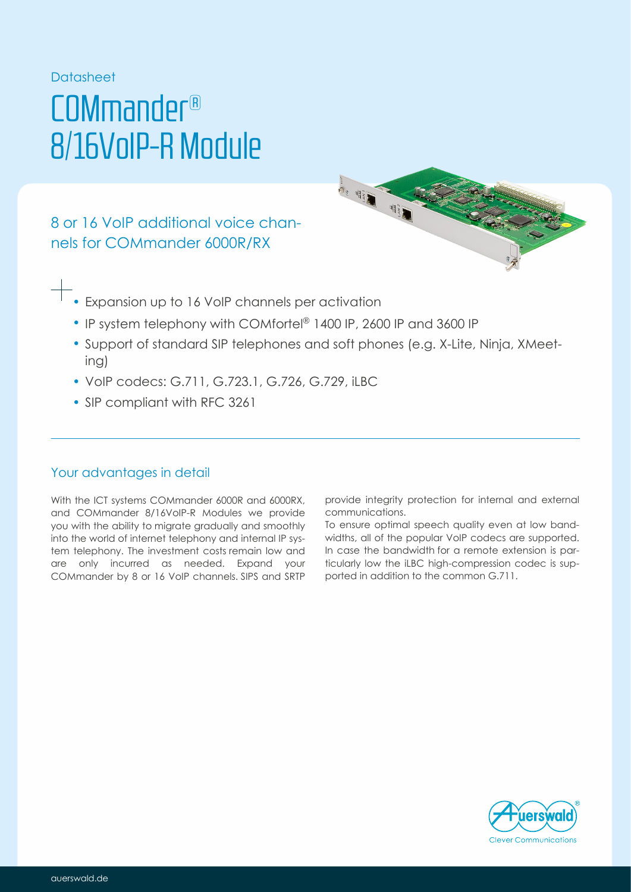Datasheet

# COMmander® 8/16VoIP-R Module

8 or 16 VoIP additional voice channels for COMmander 6000R/RX



- Expansion up to 16 VoIP channels per activation
	- IP system telephony with COMfortel® 1400 IP, 2600 IP and 3600 IP
	- Support of standard SIP telephones and soft phones (e.g. X-Lite, Ninja, XMeeting)
	- VoIP codecs: G.711, G.723.1, G.726, G.729, iLBC
	- SIP compliant with RFC 3261

### Your advantages in detail

With the ICT systems COMmander 6000R and 6000RX, and COMmander 8/16VoIP-R Modules we provide you with the ability to migrate gradually and smoothly into the world of internet telephony and internal IP system telephony. The investment costs remain low and are only incurred as needed. Expand your COMmander by 8 or 16 VoIP channels. SIPS and SRTP

provide integrity protection for internal and external communications.

To ensure optimal speech quality even at low bandwidths, all of the popular VoIP codecs are supported. In case the bandwidth for a remote extension is particularly low the iLBC high-compression codec is supported in addition to the common G.711.